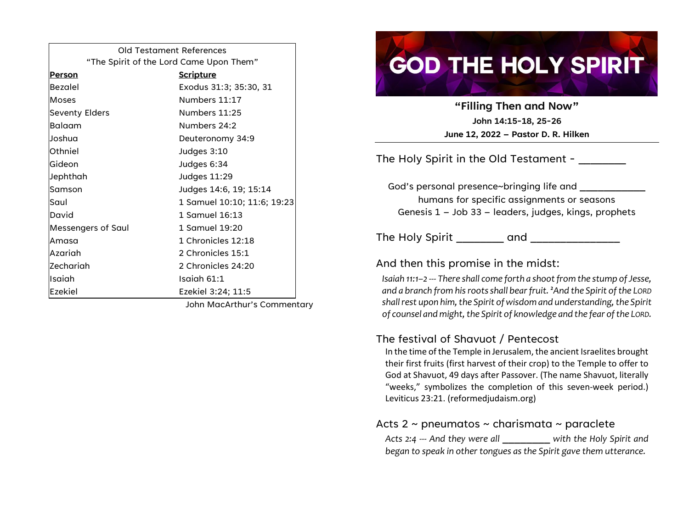|                | Old Testament References                |
|----------------|-----------------------------------------|
|                | "The Spirit of the Lord Came Upon Them" |
| Person         | <b>Scripture</b>                        |
| Bezalel        | Exodus 31:3; 35:30, 31                  |
| <b>Moses</b>   | Numbers 11:17                           |
| Seventy Elders | Numbers 11:25                           |
| lBalaam        | Numbers 24:2                            |
| Joshua         | Deuteronomy 34:9                        |
| Othniel        | Judges 3:10                             |
| lGideon        | Judges 6:34                             |
| Jephthah       | <b>Judges 11:29</b>                     |
| lSamson        | Judges 14:6, 19; 15:14                  |
| Saul           | 1 Samuel 10:10; 11:6; 19:23             |

David [1 Samuel 16:13](http://www.crossbooks.com/verse.asp?ref=1Sa+16%3A13)

Messengers of Saul [1 Samuel 19:20](http://www.crossbooks.com/verse.asp?ref=1Sa+19%3A20) Amasa [1 Chronicles 12:18](http://www.crossbooks.com/verse.asp?ref=1Ch+12%3A18) Azariah [2 Chronicles 15:1](http://www.crossbooks.com/verse.asp?ref=2Ch+15%3A1) Zechariah [2 Chronicles 24:20](http://www.crossbooks.com/verse.asp?ref=2Ch+24%3A20) Isaiah [Isaiah 61:1](http://www.crossbooks.com/verse.asp?ref=Isa+61%3A1) Ezekiel [Ezekiel 3:24;](http://www.crossbooks.com/verse.asp?ref=Eze+3%3A24) [11:5](http://www.crossbooks.com/verse.asp?ref=Eze+11%3A5)

John MacArthur's Commentary

# GOD THE HOLY SPIRIT

**"Filling Then and Now" John 14:15-18, 25-26 June 12, 2022 – Pastor D. R. Hilken**

The Holy Spirit in the Old Testament -

God's personal presence~bringing life and \_\_\_\_\_\_\_\_\_\_\_ humans for specific assignments or seasons Genesis 1 – Job 33 – leaders, judges, kings, prophets

The Holy Spirit **and** and and and and  $\alpha$ 

## And then this promise in the midst:

*Isaiah 11:1–2 --- There shall come forth a shoot from the stump of Jesse, and a branch from his roots shall bear fruit. <sup>2</sup>And the Spirit of the LORD shall rest upon him, the Spirit of wisdom and understanding, the Spirit of counsel and might, the Spirit of knowledge and the fear of the LORD.* 

## The festival of Shavuot / Pentecost

In the time of the Temple in Jerusalem, the ancient Israelites brought their first fruits (first harvest of their crop) to the Temple to offer to God at Shavuot, 49 days after Passover. (The name Shavuot, literally "weeks," symbolizes the completion of this seven-week period.) Leviticus 23:21. (reformedjudaism.org)

### Acts 2 ~ pneumatos ~ charismata ~ paraclete

*Acts 2:4 --- And they were all* \_\_\_\_\_\_\_\_ *with the Holy Spirit and began to speak in other tongues as the Spirit gave them utterance.*